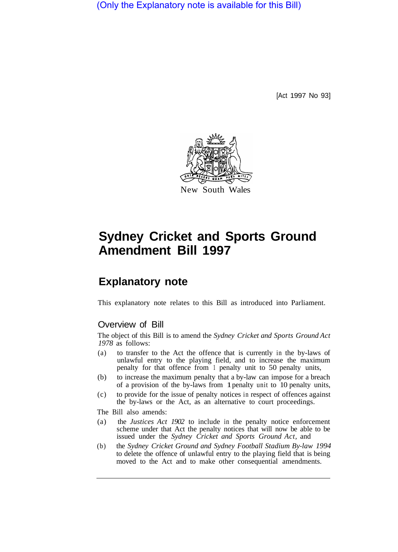(Only the Explanatory note is available for this Bill)

[Act 1997 No 93]



# **Sydney Cricket and Sports Ground Amendment Bill 1997**

# **Explanatory note**

This explanatory note relates to this Bill as introduced into Parliament.

### Overview of Bill

The object of this Bill is to amend the *Sydney Cricket and Sports Ground Act 1978* as follows:

- (a) to transfer to the Act the offence that is currently in the by-laws of unlawful entry to the playing field, and to increase the maximum penalty for that offence from 1 penalty unit to 50 penalty units,
- (b) to increase the maximum penalty that a by-law can impose for a breach of a provision of the by-laws from 1 penalty unit to 10 penalty units,
- (c) to provide for the issue of penalty notices in respect of offences against the by-laws or the Act, as an alternative to court proceedings.

The Bill also amends:

- (a) the *Justices Act 1902* to include in the penalty notice enforcement scheme under that Act the penalty notices that will now be able to be issued under the *Sydney Cricket and Sports Ground Act,* and
- (b) the *Sydney Cricket Ground and Sydney Football Stadium By-law 1994*  to delete the offence of unlawful entry to the playing field that is being moved to the Act and to make other consequential amendments.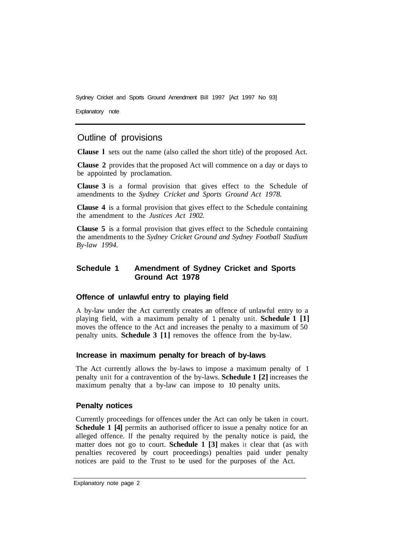Sydney Cricket and Sports Ground Amendment Bill 1997 [Act 1997 No 93]

Explanatory note

# Outline of provisions

**Clause l** sets out the name (also called the short title) of the proposed Act.

**Clause 2** provides that the proposed Act will commence on a day or days to be appointed by proclamation.

**Clause 3** is a formal provision that gives effect to the Schedule of amendments to the *Sydney Cricket and Sports Ground Act 1978.* 

**Clause 4** is a formal provision that gives effect to the Schedule containing the amendment to the *Justices Act 1902.* 

**Clause 5** is a formal provision that gives effect to the Schedule containing the amendments to the *Sydney Cricket Ground and Sydney Football Stadium By-law 1994.* 

#### **Schedule 1 Amendment of Sydney Cricket and Sports Ground Act 1978**

#### **Offence of unlawful entry to playing field**

A by-law under the Act currently creates an offence of unlawful entry to a playing field, with a maximum penalty of 1 penalty unit. **Schedule 1 [1]**  moves the offence to the Act and increases the penalty to a maximum of 50 penalty units. **Schedule 3 [1]** removes the offence from the by-law.

#### **Increase in maximum penalty for breach of by-laws**

The Act currently allows the by-laws to impose a maximum penalty of 1 penalty unit for a contravention of the by-laws. **Schedule 1 [2]** increases the maximum penalty that a by-law can impose to 10 penalty units.

#### **Penalty notices**

Currently proceedings for offences under the Act can only be taken in court. **Schedule 1 [4] permits an authorised officer to issue a penalty notice for an** alleged offence. If the penalty required by the penalty notice is paid, the matter does not go to court. **Schedule 1 [3]** makes it clear that (as with penalties recovered by court proceedings) penalties paid under penalty notices are paid to the Trust to be used for the purposes of the Act.